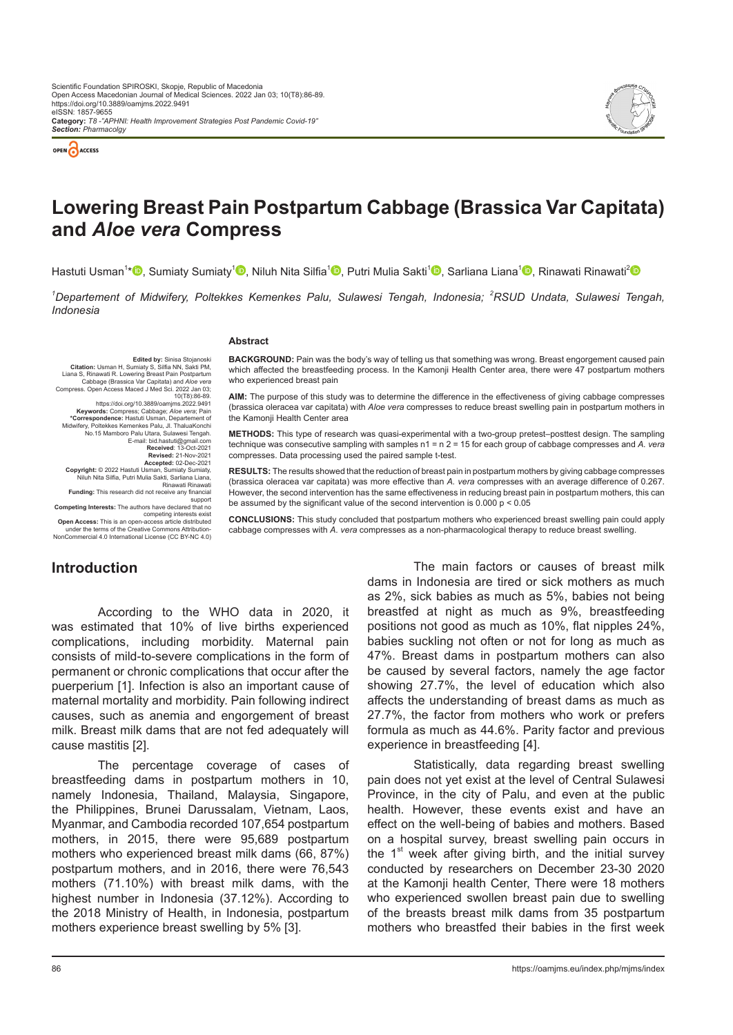



# **Lowering Breast Pain Postpartum Cabbage (Brassica Var Capitata) and** *Aloe vera* **Compress**

Hastuti Usman<sup>1</sup>[\\*](https://orcid.org/0000-0002-2002-614x)❶[,](https://orcid.org/0000-0001-7522-7099) Sumiaty Sumiaty<sup>1</sup>❶, Niluh Nita Silfia<sup>1</sup>❶, Putri Mulia Sakti<sup>1</sup>❶, Sarliana Liana<sup>1</sup>❶, Rinawati Rinawati<sup>[2](https://orchid.org/0000-0002-5668-4072)</sup>

<sup>1</sup>Departement of Midwifery, Poltekkes Kemenkes Palu, Sulawesi Tengah, Indonesia; <sup>2</sup>RSUD Undata, Sulawesi Tengah, *Indonesia*

#### **Abstract**

**Edited by:** Sinisa Stojanoski **Citation:** Usman H, Sumiaty S, Silfia NN, Sakti PM, Liana S, Rinawati R. Lowering Breast Pain Postpartum Cabbage (Brassica Var Capitata) and *Aloe vera*  Compress. Open Access Maced J Med Sci. 2022 Jan 03; 10(T8):86-89. https://doi.org/10.3889/oamjms.2022.9491 **Keywords:** Compress; Cabbage; *Aloe vera*; Pain **\*Correspondence:** Hastuti Usman, Departement of Midwifery, Poltekkes Kemenkes Palu, Jl. ThaluaKonchi No.15 Mamboro Palu Utara, Sulawesi Tengah. E-mail: bid.hastuti@gmail.com **Received**: 13-Oct-2021 **Revised:** 21-Nov-2021 **Accepted:** 02-Dec-2021 **Copyright:** © 2022 Hastuti Usman, Sumiaty Sumiaty, Niluh Nita Silfia, Putri Mulia Sakti, Sarliana Liana, Rinawati Rinawati **Funding:** This research did not receive any financial support **Competing Interests:** The authors have declared that no competing interests exist

**Open Access:** This is an open-access article distributed under the terms of the Creative Commons Attribution-NonCommercial 4.0 International License (CC BY-NC 4.0)

**BACKGROUND:** Pain was the body's way of telling us that something was wrong. Breast engorgement caused pain which affected the breastfeeding process. In the Kamonji Health Center area, there were 47 postpartum mothers who experienced breast pain

**AIM:** The purpose of this study was to determine the difference in the effectiveness of giving cabbage compresses (brassica oleracea var capitata) with *Aloe vera* compresses to reduce breast swelling pain in postpartum mothers in the Kamonii Health Center area

**METHODS:** This type of research was quasi-experimental with a two-group pretest–posttest design. The sampling technique was consecutive sampling with samples n1 = n 2 = 15 for each group of cabbage compresses and *A. vera* compresses. Data processing used the paired sample t-test.

**RESULTS:** The results showed that the reduction of breast pain in postpartum mothers by giving cabbage compresses (brassica oleracea var capitata) was more effective than *A. vera* compresses with an average difference of 0.267. However, the second intervention has the same effectiveness in reducing breast pain in postpartum mothers, this can be assumed by the significant value of the second intervention is  $0.000 \text{ p} < 0.05$ 

**CONCLUSIONS:** This study concluded that postpartum mothers who experienced breast swelling pain could apply cabbage compresses with *A. vera* compresses as a non-pharmacological therapy to reduce breast swelling.

# **Introduction**

According to the WHO data in 2020, it was estimated that 10% of live births experienced complications, including morbidity. Maternal pain consists of mild-to-severe complications in the form of permanent or chronic complications that occur after the puerperium [1]. Infection is also an important cause of maternal mortality and morbidity. Pain following indirect causes, such as anemia and engorgement of breast milk. Breast milk dams that are not fed adequately will cause mastitis [2].

The percentage coverage of cases of breastfeeding dams in postpartum mothers in 10, namely Indonesia, Thailand, Malaysia, Singapore, the Philippines, Brunei Darussalam, Vietnam, Laos, Myanmar, and Cambodia recorded 107,654 postpartum mothers, in 2015, there were 95,689 postpartum mothers who experienced breast milk dams (66, 87%) postpartum mothers, and in 2016, there were 76,543 mothers (71.10%) with breast milk dams, with the highest number in Indonesia (37.12%). According to the 2018 Ministry of Health, in Indonesia, postpartum mothers experience breast swelling by 5% [3].

The main factors or causes of breast milk dams in Indonesia are tired or sick mothers as much as 2%, sick babies as much as 5%, babies not being breastfed at night as much as 9%, breastfeeding positions not good as much as 10%, flat nipples 24%, babies suckling not often or not for long as much as 47%. Breast dams in postpartum mothers can also be caused by several factors, namely the age factor showing 27.7%, the level of education which also affects the understanding of breast dams as much as 27.7%, the factor from mothers who work or prefers formula as much as 44.6%. Parity factor and previous experience in breastfeeding [4].

Statistically, data regarding breast swelling pain does not yet exist at the level of Central Sulawesi Province, in the city of Palu, and even at the public health. However, these events exist and have an effect on the well-being of babies and mothers. Based on a hospital survey, breast swelling pain occurs in the  $1<sup>st</sup>$  week after giving birth, and the initial survey conducted by researchers on December 23-30 2020 at the Kamonji health Center, There were 18 mothers who experienced swollen breast pain due to swelling of the breasts breast milk dams from 35 postpartum mothers who breastfed their babies in the first week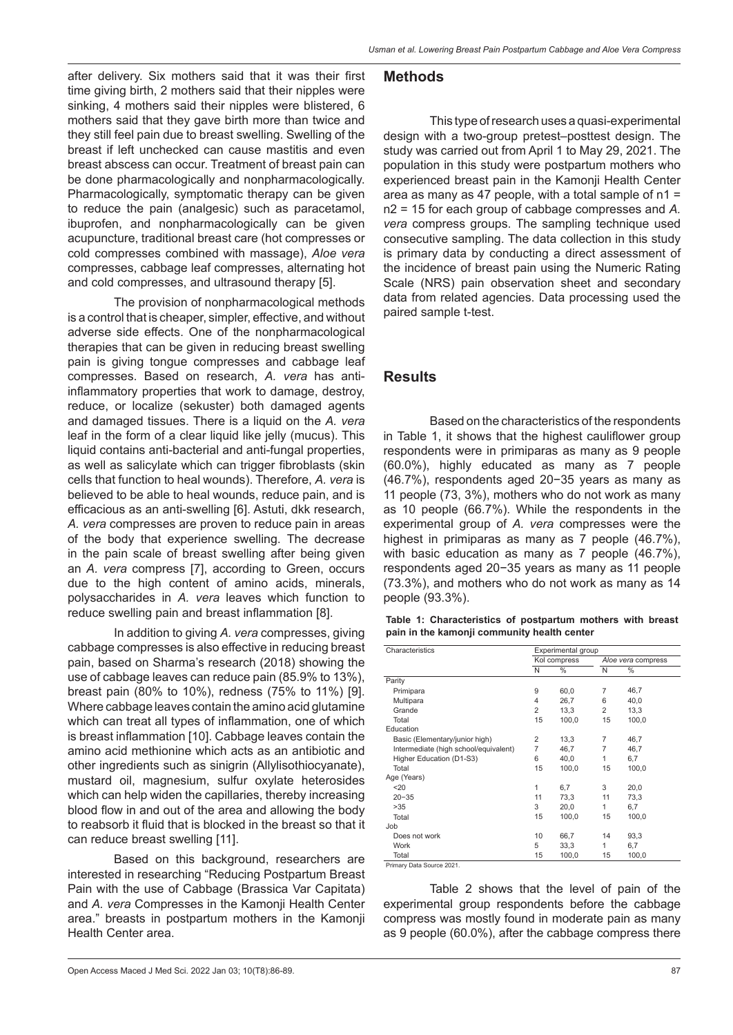after delivery. Six mothers said that it was their first time giving birth, 2 mothers said that their nipples were sinking, 4 mothers said their nipples were blistered, 6 mothers said that they gave birth more than twice and they still feel pain due to breast swelling. Swelling of the breast if left unchecked can cause mastitis and even breast abscess can occur. Treatment of breast pain can be done pharmacologically and nonpharmacologically. Pharmacologically, symptomatic therapy can be given to reduce the pain (analgesic) such as paracetamol, ibuprofen, and nonpharmacologically can be given acupuncture, traditional breast care (hot compresses or cold compresses combined with massage), *Aloe vera*  compresses, cabbage leaf compresses, alternating hot and cold compresses, and ultrasound therapy [5].

The provision of nonpharmacological methods is a control that is cheaper, simpler, effective, and without adverse side effects. One of the nonpharmacological therapies that can be given in reducing breast swelling pain is giving tongue compresses and cabbage leaf compresses. Based on research, *A. vera* has antiinflammatory properties that work to damage, destroy, reduce, or localize (sekuster) both damaged agents and damaged tissues. There is a liquid on the *A. vera*  leaf in the form of a clear liquid like jelly (mucus). This liquid contains anti-bacterial and anti-fungal properties, as well as salicylate which can trigger fibroblasts (skin cells that function to heal wounds). Therefore, *A. vera* is believed to be able to heal wounds, reduce pain, and is efficacious as an anti-swelling [6]. Astuti, dkk research, *A. vera* compresses are proven to reduce pain in areas of the body that experience swelling. The decrease in the pain scale of breast swelling after being given an *A. vera* compress [7], according to Green, occurs due to the high content of amino acids, minerals, polysaccharides in *A. vera* leaves which function to reduce swelling pain and breast inflammation [8].

In addition to giving *A. vera* compresses, giving cabbage compresses is also effective in reducing breast pain, based on Sharma's research (2018) showing the use of cabbage leaves can reduce pain (85.9% to 13%), breast pain (80% to 10%), redness (75% to 11%) [9]. Where cabbage leaves contain the amino acid glutamine which can treat all types of inflammation, one of which is breast inflammation [10]. Cabbage leaves contain the amino acid methionine which acts as an antibiotic and other ingredients such as sinigrin (Allylisothiocyanate), mustard oil, magnesium, sulfur oxylate heterosides which can help widen the capillaries, thereby increasing blood flow in and out of the area and allowing the body to reabsorb it fluid that is blocked in the breast so that it can reduce breast swelling [11].

Based on this background, researchers are interested in researching "Reducing Postpartum Breast Pain with the use of Cabbage (Brassica Var Capitata) and *A. vera* Compresses in the Kamonji Health Center area." breasts in postpartum mothers in the Kamonji Health Center area.

#### Open Access Maced J Med Sci. 2022 Jan 03; 10(T8):86-89. 87

#### **Methods**

This type of research uses a quasi-experimental design with a two-group pretest–posttest design. The study was carried out from April 1 to May 29, 2021. The population in this study were postpartum mothers who experienced breast pain in the Kamonji Health Center area as many as 47 people, with a total sample of n1 = n2 = 15 for each group of cabbage compresses and *A. vera* compress groups. The sampling technique used consecutive sampling. The data collection in this study is primary data by conducting a direct assessment of the incidence of breast pain using the Numeric Rating Scale (NRS) pain observation sheet and secondary data from related agencies. Data processing used the paired sample t-test.

#### **Results**

Based on the characteristics of the respondents in Table 1, it shows that the highest cauliflower group respondents were in primiparas as many as 9 people (60.0%), highly educated as many as 7 people (46.7%), respondents aged 20−35 years as many as 11 people (73, 3%), mothers who do not work as many as 10 people (66.7%). While the respondents in the experimental group of *A. vera* compresses were the highest in primiparas as many as 7 people (46.7%), with basic education as many as 7 people (46.7%), respondents aged 20−35 years as many as 11 people (73.3%), and mothers who do not work as many as 14 people (93.3%).

|  | Table 1: Characteristics of postpartum mothers with breast |  |  |  |
|--|------------------------------------------------------------|--|--|--|
|  | pain in the kamonji community health center                |  |  |  |

| Characteristics                       | Experimental group |              |                    |       |  |
|---------------------------------------|--------------------|--------------|--------------------|-------|--|
|                                       |                    | Kol compress | Aloe vera compress |       |  |
|                                       | N                  | $\%$         | N                  | $\%$  |  |
| Parity                                |                    |              |                    |       |  |
| Primipara                             | 9                  | 60,0         | $\overline{7}$     | 46,7  |  |
| Multipara                             | $\overline{4}$     | 26,7         | 6                  | 40,0  |  |
| Grande                                | $\overline{2}$     | 13,3         | $\overline{2}$     | 13,3  |  |
| Total                                 | 15                 | 100,0        | 15                 | 100,0 |  |
| Education                             |                    |              |                    |       |  |
| Basic (Elementary/junior high)        | $\overline{2}$     | 13,3         | 7                  | 46,7  |  |
| Intermediate (high school/equivalent) | $\overline{7}$     | 46,7         | $\overline{7}$     | 46,7  |  |
| Higher Education (D1-S3)              | 6                  | 40.0         | 1                  | 6,7   |  |
| Total                                 | 15                 | 100,0        | 15                 | 100,0 |  |
| Age (Years)                           |                    |              |                    |       |  |
| 20                                    | 1                  | 6,7          | 3                  | 20,0  |  |
| $20 - 35$                             | 11                 | 73,3         | 11                 | 73,3  |  |
| >35                                   | 3                  | 20,0         | 1                  | 6,7   |  |
| Total                                 | 15                 | 100,0        | 15                 | 100,0 |  |
| Job                                   |                    |              |                    |       |  |
| Does not work                         | 10                 | 66.7         | 14                 | 93,3  |  |
| Work                                  | 5                  | 33,3         | 1                  | 6,7   |  |
| Total                                 | 15                 | 100,0        | 15                 | 100,0 |  |

Total Primary Data Source 2021.

Table 2 shows that the level of pain of the experimental group respondents before the cabbage compress was mostly found in moderate pain as many as 9 people (60.0%), after the cabbage compress there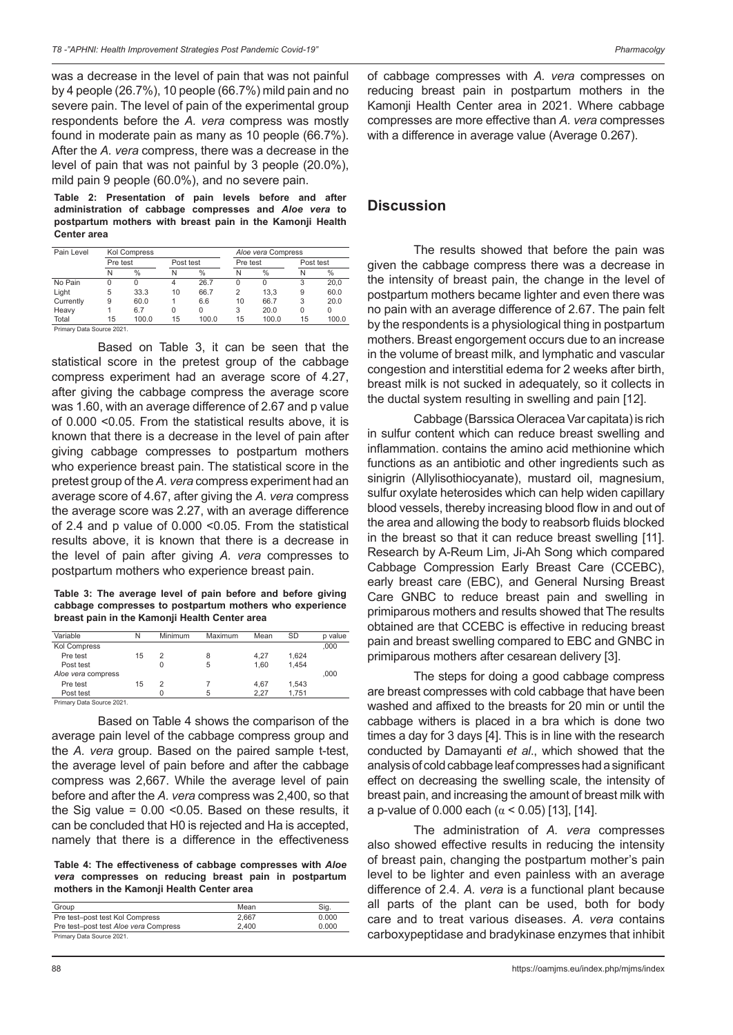was a decrease in the level of pain that was not painful by 4 people (26.7%), 10 people (66.7%) mild pain and no severe pain. The level of pain of the experimental group respondents before the *A. vera* compress was mostly found in moderate pain as many as 10 people (66.7%). After the *A. vera* compress, there was a decrease in the level of pain that was not painful by 3 people (20.0%), mild pain 9 people (60.0%), and no severe pain.

**Table 2: Presentation of pain levels before and after administration of cabbage compresses and** *Aloe vera* **to postpartum mothers with breast pain in the Kamonji Health Center area**

| Pain Level               | <b>Kol Compress</b> |       |           |       | Aloe vera Compress |       |           |          |
|--------------------------|---------------------|-------|-----------|-------|--------------------|-------|-----------|----------|
|                          | Pre test            |       | Post test |       | Pre test           |       | Post test |          |
|                          | N                   | %     | N         | %     | N                  | $\%$  | N         | %        |
| No Pain                  |                     | 0     | 4         | 26.7  |                    | 0     | 3         | 20.0     |
| Light                    | 5                   | 33.3  | 10        | 66.7  | 2                  | 13.3  | 9         | 60.0     |
| Currently                | 9                   | 60.0  |           | 6.6   | 10                 | 66.7  | 3         | 20.0     |
| Heavy                    |                     | 6.7   |           | 0     | 3                  | 20.0  | 0         | $\Omega$ |
| Total                    | 15                  | 100.0 | 15        | 100.0 | 15                 | 100.0 | 15        | 100.0    |
| Primary Data Source 2021 |                     |       |           |       |                    |       |           |          |

Based on Table 3, it can be seen that the statistical score in the pretest group of the cabbage compress experiment had an average score of 4.27, after giving the cabbage compress the average score was 1.60, with an average difference of 2.67 and p value of 0.000 <0.05. From the statistical results above, it is known that there is a decrease in the level of pain after giving cabbage compresses to postpartum mothers who experience breast pain. The statistical score in the pretest group of the *A. vera* compress experiment had an average score of 4.67, after giving the *A. vera* compress the average score was 2.27, with an average difference of 2.4 and p value of 0.000 <0.05. From the statistical results above, it is known that there is a decrease in the level of pain after giving *A. vera* compresses to postpartum mothers who experience breast pain.

**Table 3: The average level of pain before and before giving cabbage compresses to postpartum mothers who experience breast pain in the Kamonji Health Center area**

| Variable                  | N  | Minimum | Maximum | Mean | <b>SD</b> | p value |
|---------------------------|----|---------|---------|------|-----------|---------|
| <b>Kol Compress</b>       |    |         |         |      |           | .000    |
| Pre test                  | 15 | 2       | 8       | 4.27 | 1.624     |         |
| Post test                 |    |         | 5       | 1.60 | 1.454     |         |
| Aloe vera compress        |    |         |         |      |           | .000    |
| Pre test                  | 15 | 2       |         | 4.67 | 1.543     |         |
| Post test                 |    |         | 5       | 2.27 | 1.751     |         |
| Primary Data Source 2021. |    |         |         |      |           |         |

Based on Table 4 shows the comparison of the average pain level of the cabbage compress group and the *A. vera* group. Based on the paired sample t-test, the average level of pain before and after the cabbage compress was 2,667. While the average level of pain before and after the *A. vera* compress was 2,400, so that the Sig value  $= 0.00$  < 0.05. Based on these results, it can be concluded that H0 is rejected and Ha is accepted, namely that there is a difference in the effectiveness

**Table 4: The effectiveness of cabbage compresses with** *Aloe vera* **compresses on reducing breast pain in postpartum mothers in the Kamonji Health Center area**

| Group                                 | Mean  | Sia.  |  |  |  |
|---------------------------------------|-------|-------|--|--|--|
| Pre test-post test Kol Compress       | 2.667 | 0.000 |  |  |  |
| Pre test-post test Aloe vera Compress | 2.400 | 0.000 |  |  |  |
| Primary Data Source 2021.             |       |       |  |  |  |

of cabbage compresses with *A. vera* compresses on reducing breast pain in postpartum mothers in the Kamonji Health Center area in 2021. Where cabbage compresses are more effective than *A. vera* compresses with a difference in average value (Average 0.267).

### **Discussion**

The results showed that before the pain was given the cabbage compress there was a decrease in the intensity of breast pain, the change in the level of postpartum mothers became lighter and even there was no pain with an average difference of 2.67. The pain felt by the respondents is a physiological thing in postpartum mothers. Breast engorgement occurs due to an increase in the volume of breast milk, and lymphatic and vascular congestion and interstitial edema for 2 weeks after birth, breast milk is not sucked in adequately, so it collects in the ductal system resulting in swelling and pain [12].

Cabbage (Barssica Oleracea Var capitata) is rich in sulfur content which can reduce breast swelling and inflammation. contains the amino acid methionine which functions as an antibiotic and other ingredients such as sinigrin (Allylisothiocyanate), mustard oil, magnesium, sulfur oxylate heterosides which can help widen capillary blood vessels, thereby increasing blood flow in and out of the area and allowing the body to reabsorb fluids blocked in the breast so that it can reduce breast swelling [11]. Research by A-Reum Lim, Ji-Ah Song which compared Cabbage Compression Early Breast Care (CCEBC), early breast care (EBC), and General Nursing Breast Care GNBC to reduce breast pain and swelling in primiparous mothers and results showed that The results obtained are that CCEBC is effective in reducing breast pain and breast swelling compared to EBC and GNBC in primiparous mothers after cesarean delivery [3].

The steps for doing a good cabbage compress are breast compresses with cold cabbage that have been washed and affixed to the breasts for 20 min or until the cabbage withers is placed in a bra which is done two times a day for 3 days [4]. This is in line with the research conducted by Damayanti *et al*., which showed that the analysis of cold cabbage leaf compresses had a significant effect on decreasing the swelling scale, the intensity of breast pain, and increasing the amount of breast milk with a p-value of 0.000 each ( $\alpha$  < 0.05) [13], [14].

The administration of *A. vera* compresses also showed effective results in reducing the intensity of breast pain, changing the postpartum mother's pain level to be lighter and even painless with an average difference of 2.4. *A. vera* is a functional plant because all parts of the plant can be used, both for body care and to treat various diseases. *A. vera* contains carboxypeptidase and bradykinase enzymes that inhibit